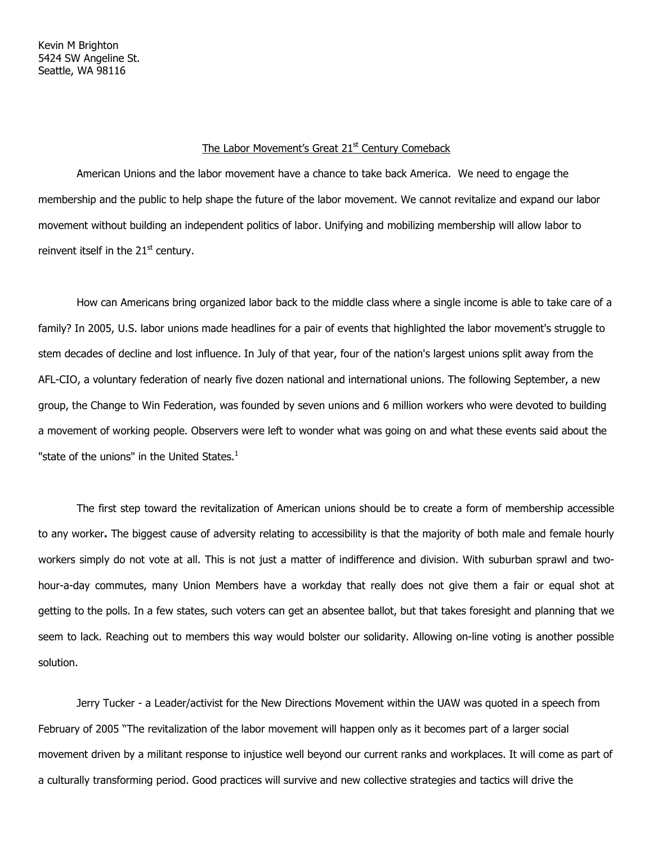## The Labor Movement's Great 21<sup>st</sup> Century Comeback

American Unions and the labor movement have a chance to take back America. We need to engage the membership and the public to help shape the future of the labor movement. We cannot revitalize and expand our labor movement without building an independent politics of labor. Unifying and mobilizing membership will allow labor to reinvent itself in the  $21<sup>st</sup>$  century.

How can Americans bring organized labor back to the middle class where a single income is able to take care of a family? In 2005, U.S. labor unions made headlines for a pair of events that highlighted the labor movement's struggle to stem decades of decline and lost influence. In July of that year, four of the nation's largest unions split away from the AFL-CIO, a voluntary federation of nearly five dozen national and international unions. The following September, a new group, the Change to Win Federation, was founded by seven unions and 6 million workers who were devoted to building a movement of working people. Observers were left to wonder what was going on and what these events said about the "state of the unions" in the United States.<sup>1</sup>

The first step toward the revitalization of American unions should be to create a form of membership accessible to any worker. The biggest cause of adversity relating to accessibility is that the majority of both male and female hourly workers simply do not vote at all. This is not just a matter of indifference and division. With suburban sprawl and twohour-a-day commutes, many Union Members have a workday that really does not give them a fair or equal shot at getting to the polls. In a few states, such voters can get an absentee ballot, but that takes foresight and planning that we seem to lack. Reaching out to members this way would bolster our solidarity. Allowing on-line voting is another possible solution.

Jerry Tucker - a Leader/activist for the New Directions Movement within the UAW was quoted in a speech from February of 2005 "The revitalization of the labor movement will happen only as it becomes part of a larger social movement driven by a militant response to injustice well beyond our current ranks and workplaces. It will come as part of a culturally transforming period. Good practices will survive and new collective strategies and tactics will drive the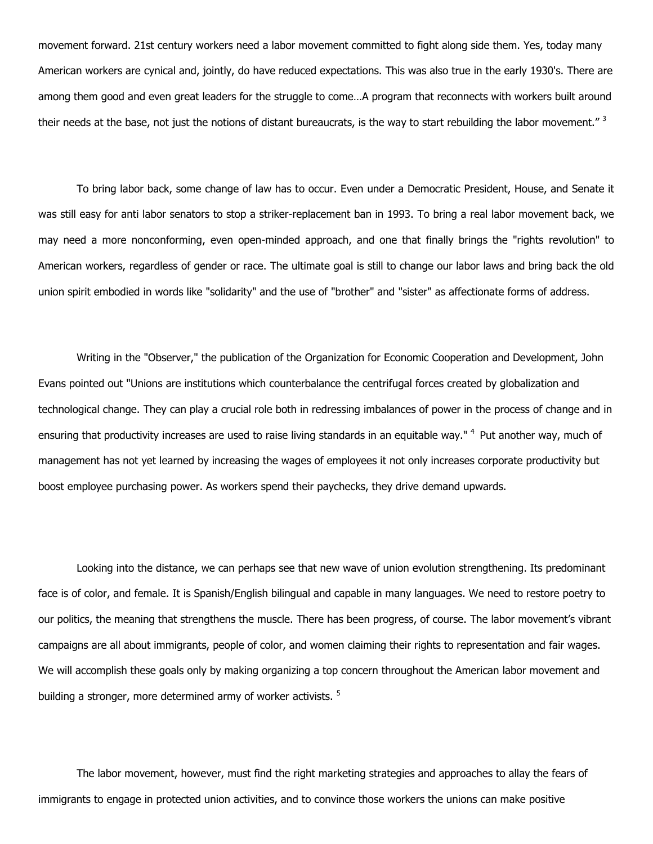movement forward. 21st century workers need a labor movement committed to fight along side them. Yes, today many American workers are cynical and, jointly, do have reduced expectations. This was also true in the early 1930's. There are among them good and even great leaders for the struggle to come…A program that reconnects with workers built around their needs at the base, not just the notions of distant bureaucrats, is the way to start rebuilding the labor movement."<sup>3</sup>

To bring labor back, some change of law has to occur. Even under a Democratic President, House, and Senate it was still easy for anti labor senators to stop a striker-replacement ban in 1993. To bring a real labor movement back, we may need a more nonconforming, even open-minded approach, and one that finally brings the "rights revolution" to American workers, regardless of gender or race. The ultimate goal is still to change our labor laws and bring back the old union spirit embodied in words like "solidarity" and the use of "brother" and "sister" as affectionate forms of address.

Writing in the "Observer," the publication of the Organization for Economic Cooperation and Development, John Evans pointed out "Unions are institutions which counterbalance the centrifugal forces created by globalization and technological change. They can play a crucial role both in redressing imbalances of power in the process of change and in ensuring that productivity increases are used to raise living standards in an equitable way." <sup>4</sup> Put another way, much of management has not yet learned by increasing the wages of employees it not only increases corporate productivity but boost employee purchasing power. As workers spend their paychecks, they drive demand upwards.

Looking into the distance, we can perhaps see that new wave of union evolution strengthening. Its predominant face is of color, and female. It is Spanish/English bilingual and capable in many languages. We need to restore poetry to our politics, the meaning that strengthens the muscle. There has been progress, of course. The labor movement's vibrant campaigns are all about immigrants, people of color, and women claiming their rights to representation and fair wages. We will accomplish these goals only by making organizing a top concern throughout the American labor movement and building a stronger, more determined army of worker activists.<sup>5</sup>

The labor movement, however, must find the right marketing strategies and approaches to allay the fears of immigrants to engage in protected union activities, and to convince those workers the unions can make positive